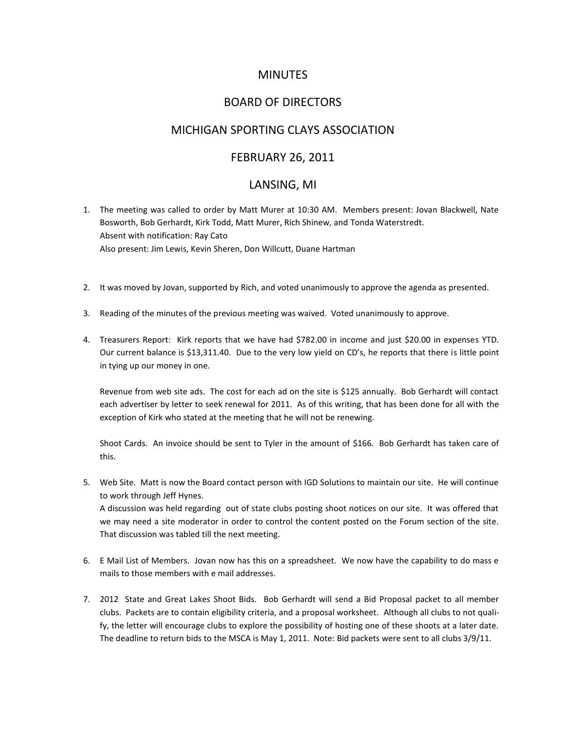# MINUTES

# BOARD OF DIRECTORS

### MICHIGAN SPORTING CLAYS ASSOCIATION

### FEBRUARY 26, 2011

#### LANSING, MI

- 1. The meeting was called to order by Matt Murer at 10:30 AM. Members present: Jovan Blackwell, Nate Bosworth, Bob Gerhardt, Kirk Todd, Matt Murer, Rich Shinew, and Tonda Waterstredt. Absent with notification: Ray Cato Also present: Jim Lewis, Kevin Sheren, Don Willcutt, Duane Hartman
- 2. It was moved by Jovan, supported by Rich, and voted unanimously to approve the agenda as presented.
- 3. Reading of the minutes of the previous meeting was waived. Voted unanimously to approve.
- 4. Treasurers Report: Kirk reports that we have had \$782.00 in income and just \$20.00 in expenses YTD. Our current balance is \$13,311.40. Due to the very low yield on CD's, he reports that there is little point in tying up our money in one.

Revenue from web site ads. The cost for each ad on the site is \$125 annually. Bob Gerhardt will contact each advertiser by letter to seek renewal for 2011. As of this writing, that has been done for all with the exception of Kirk who stated at the meeting that he will not be renewing.

Shoot Cards. An invoice should be sent to Tyler in the amount of \$166. Bob Gerhardt has taken care of this.

5. Web Site. Matt is now the Board contact person with IGD Solutions to maintain our site. He will continue to work through Jeff Hynes.

A discussion was held regarding out of state clubs posting shoot notices on our site. It was offered that we may need a site moderator in order to control the content posted on the Forum section of the site. That discussion was tabled till the next meeting.

- 6. E Mail List of Members. Jovan now has this on a spreadsheet. We now have the capability to do mass e mails to those members with e mail addresses.
- 7. 2012 State and Great Lakes Shoot Bids. Bob Gerhardt will send a Bid Proposal packet to all member clubs. Packets are to contain eligibility criteria, and a proposal worksheet. Although all clubs to not qualify, the letter will encourage clubs to explore the possibility of hosting one of these shoots at a later date. The deadline to return bids to the MSCA is May 1, 2011. Note: Bid packets were sent to all clubs 3/9/11.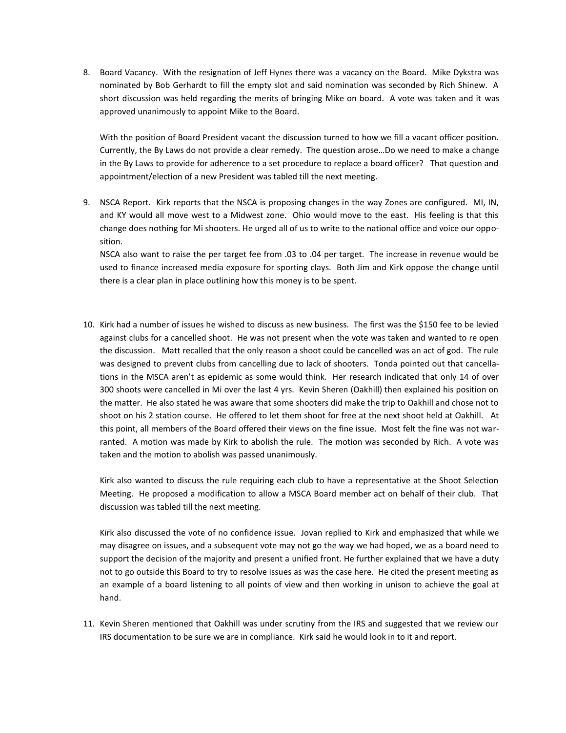8. Board Vacancy. With the resignation of Jeff Hynes there was a vacancy on the Board. Mike Dykstra was nominated by Bob Gerhardt to fill the empty slot and said nomination was seconded by Rich Shinew. A short discussion was held regarding the merits of bringing Mike on board. A vote was taken and it was approved unanimously to appoint Mike to the Board.

With the position of Board President vacant the discussion turned to how we fill a vacant officer position. Currently, the By Laws do not provide a clear remedy. The question arose…Do we need to make a change in the By Laws to provide for adherence to a set procedure to replace a board officer? That question and appointment/election of a new President was tabled till the next meeting.

9. NSCA Report. Kirk reports that the NSCA is proposing changes in the way Zones are configured. MI, IN, and KY would all move west to a Midwest zone. Ohio would move to the east. His feeling is that this change does nothing for Mi shooters. He urged all of us to write to the national office and voice our opposition.

NSCA also want to raise the per target fee from .03 to .04 per target. The increase in revenue would be used to finance increased media exposure for sporting clays. Both Jim and Kirk oppose the change until there is a clear plan in place outlining how this money is to be spent.

10. Kirk had a number of issues he wished to discuss as new business. The first was the \$150 fee to be levied against clubs for a cancelled shoot. He was not present when the vote was taken and wanted to re open the discussion. Matt recalled that the only reason a shoot could be cancelled was an act of god. The rule was designed to prevent clubs from cancelling due to lack of shooters. Tonda pointed out that cancellations in the MSCA aren't as epidemic as some would think. Her research indicated that only 14 of over 300 shoots were cancelled in Mi over the last 4 yrs. Kevin Sheren (Oakhill) then explained his position on the matter. He also stated he was aware that some shooters did make the trip to Oakhill and chose not to shoot on his 2 station course. He offered to let them shoot for free at the next shoot held at Oakhill. At this point, all members of the Board offered their views on the fine issue. Most felt the fine was not warranted. A motion was made by Kirk to abolish the rule. The motion was seconded by Rich. A vote was taken and the motion to abolish was passed unanimously.

Kirk also wanted to discuss the rule requiring each club to have a representative at the Shoot Selection Meeting. He proposed a modification to allow a MSCA Board member act on behalf of their club. That discussion was tabled till the next meeting.

Kirk also discussed the vote of no confidence issue. Jovan replied to Kirk and emphasized that while we may disagree on issues, and a subsequent vote may not go the way we had hoped, we as a board need to support the decision of the majority and present a unified front. He further explained that we have a duty not to go outside this Board to try to resolve issues as was the case here. He cited the present meeting as an example of a board listening to all points of view and then working in unison to achieve the goal at hand.

11. Kevin Sheren mentioned that Oakhill was under scrutiny from the IRS and suggested that we review our IRS documentation to be sure we are in compliance. Kirk said he would look in to it and report.